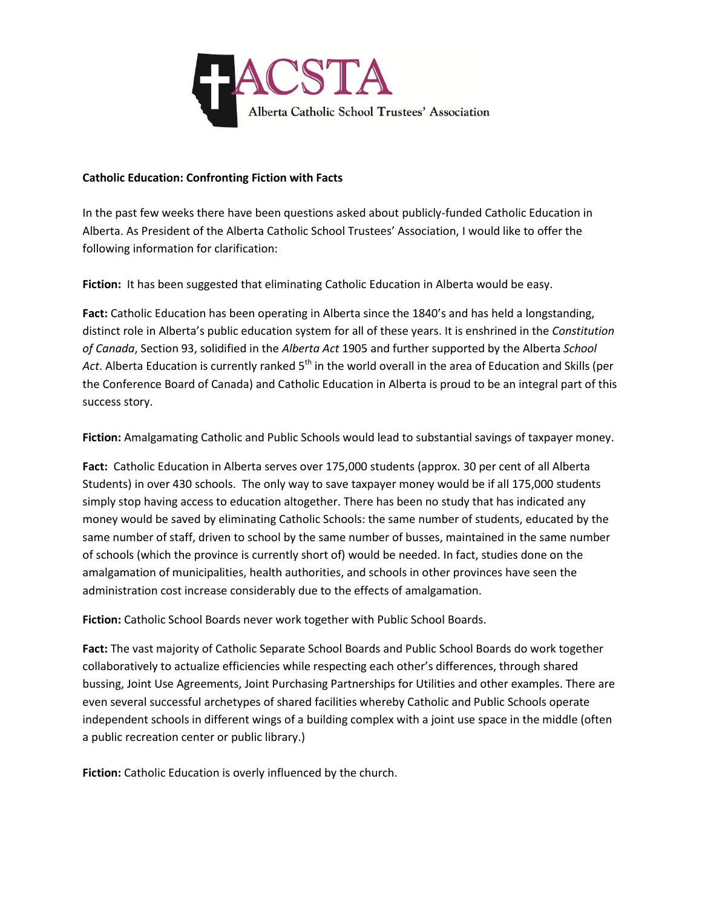

## **Catholic Education: Confronting Fiction with Facts**

In the past few weeks there have been questions asked about publicly-funded Catholic Education in Alberta. As President of the Alberta Catholic School Trustees' Association, I would like to offer the following information for clarification:

**Fiction:** It has been suggested that eliminating Catholic Education in Alberta would be easy.

**Fact:** Catholic Education has been operating in Alberta since the 1840's and has held a longstanding, distinct role in Alberta's public education system for all of these years. It is enshrined in the *Constitution of Canada*, Section 93, solidified in the *Alberta Act* 1905 and further supported by the Alberta *School*  Act. Alberta Education is currently ranked 5<sup>th</sup> in the world overall in the area of Education and Skills (per the Conference Board of Canada) and Catholic Education in Alberta is proud to be an integral part of this success story.

**Fiction:** Amalgamating Catholic and Public Schools would lead to substantial savings of taxpayer money.

**Fact:** Catholic Education in Alberta serves over 175,000 students (approx. 30 per cent of all Alberta Students) in over 430 schools. The only way to save taxpayer money would be if all 175,000 students simply stop having access to education altogether. There has been no study that has indicated any money would be saved by eliminating Catholic Schools: the same number of students, educated by the same number of staff, driven to school by the same number of busses, maintained in the same number of schools (which the province is currently short of) would be needed. In fact, studies done on the amalgamation of municipalities, health authorities, and schools in other provinces have seen the administration cost increase considerably due to the effects of amalgamation.

**Fiction:** Catholic School Boards never work together with Public School Boards.

**Fact:** The vast majority of Catholic Separate School Boards and Public School Boards do work together collaboratively to actualize efficiencies while respecting each other's differences, through shared bussing, Joint Use Agreements, Joint Purchasing Partnerships for Utilities and other examples. There are even several successful archetypes of shared facilities whereby Catholic and Public Schools operate independent schools in different wings of a building complex with a joint use space in the middle (often a public recreation center or public library.)

**Fiction:** Catholic Education is overly influenced by the church.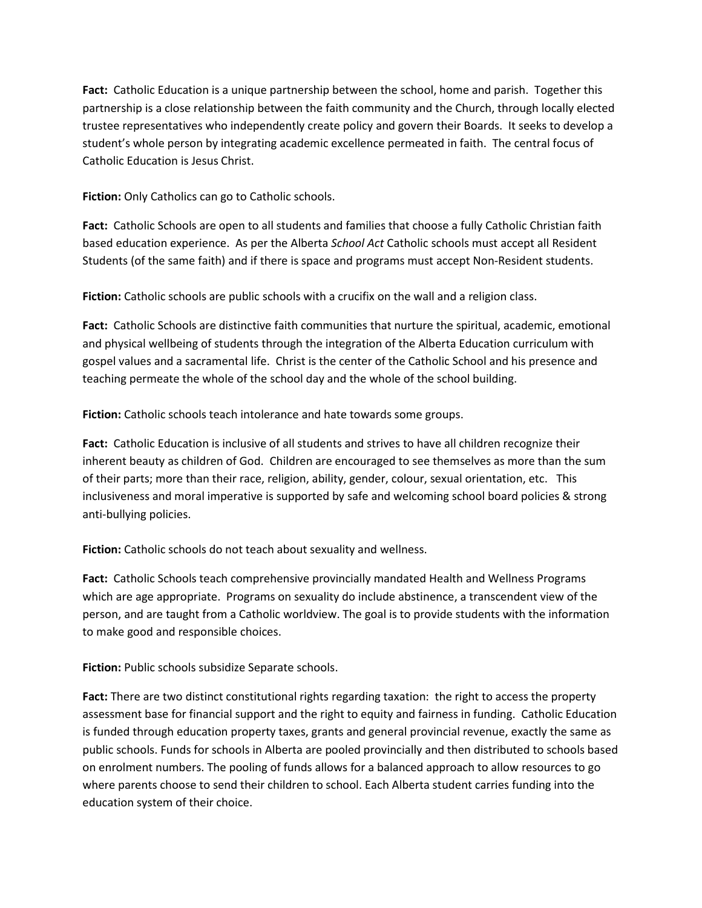**Fact:** Catholic Education is a unique partnership between the school, home and parish. Together this partnership is a close relationship between the faith community and the Church, through locally elected trustee representatives who independently create policy and govern their Boards. It seeks to develop a student's whole person by integrating academic excellence permeated in faith. The central focus of Catholic Education is Jesus Christ.

**Fiction:** Only Catholics can go to Catholic schools.

**Fact:** Catholic Schools are open to all students and families that choose a fully Catholic Christian faith based education experience. As per the Alberta *School Act* Catholic schools must accept all Resident Students (of the same faith) and if there is space and programs must accept Non-Resident students.

**Fiction:** Catholic schools are public schools with a crucifix on the wall and a religion class.

**Fact:** Catholic Schools are distinctive faith communities that nurture the spiritual, academic, emotional and physical wellbeing of students through the integration of the Alberta Education curriculum with gospel values and a sacramental life. Christ is the center of the Catholic School and his presence and teaching permeate the whole of the school day and the whole of the school building.

**Fiction:** Catholic schools teach intolerance and hate towards some groups.

**Fact:** Catholic Education is inclusive of all students and strives to have all children recognize their inherent beauty as children of God. Children are encouraged to see themselves as more than the sum of their parts; more than their race, religion, ability, gender, colour, sexual orientation, etc. This inclusiveness and moral imperative is supported by safe and welcoming school board policies & strong anti-bullying policies.

**Fiction:** Catholic schools do not teach about sexuality and wellness.

**Fact:** Catholic Schools teach comprehensive provincially mandated Health and Wellness Programs which are age appropriate. Programs on sexuality do include abstinence, a transcendent view of the person, and are taught from a Catholic worldview. The goal is to provide students with the information to make good and responsible choices.

**Fiction:** Public schools subsidize Separate schools.

**Fact:** There are two distinct constitutional rights regarding taxation: the right to access the property assessment base for financial support and the right to equity and fairness in funding. Catholic Education is funded through education property taxes, grants and general provincial revenue, exactly the same as public schools. Funds for schools in Alberta are pooled provincially and then distributed to schools based on enrolment numbers. The pooling of funds allows for a balanced approach to allow resources to go where parents choose to send their children to school. Each Alberta student carries funding into the education system of their choice.